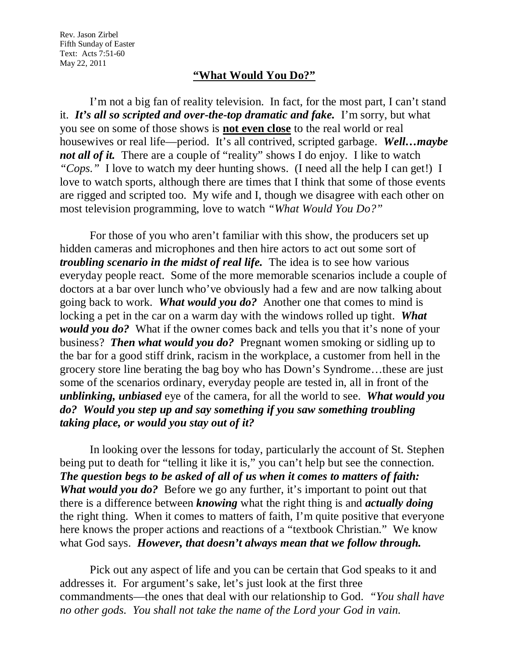Rev. Jason Zirbel Fifth Sunday of Easter Text: Acts 7:51-60 May 22, 2011

## **"What Would You Do?"**

I'm not a big fan of reality television. In fact, for the most part, I can't stand it. *It's all so scripted and over-the-top dramatic and fake.* I'm sorry, but what you see on some of those shows is **not even close** to the real world or real housewives or real life—period. It's all contrived, scripted garbage. *Well…maybe not all of it.* There are a couple of "reality" shows I do enjoy. I like to watch *"Cops."* I love to watch my deer hunting shows. (I need all the help I can get!) I love to watch sports, although there are times that I think that some of those events are rigged and scripted too. My wife and I, though we disagree with each other on most television programming, love to watch *"What Would You Do?"*

For those of you who aren't familiar with this show, the producers set up hidden cameras and microphones and then hire actors to act out some sort of *troubling scenario in the midst of real life.* The idea is to see how various everyday people react. Some of the more memorable scenarios include a couple of doctors at a bar over lunch who've obviously had a few and are now talking about going back to work. *What would you do?* Another one that comes to mind is locking a pet in the car on a warm day with the windows rolled up tight. *What would you do?* What if the owner comes back and tells you that it's none of your business? *Then what would you do?* Pregnant women smoking or sidling up to the bar for a good stiff drink, racism in the workplace, a customer from hell in the grocery store line berating the bag boy who has Down's Syndrome…these are just some of the scenarios ordinary, everyday people are tested in, all in front of the *unblinking, unbiased* eye of the camera, for all the world to see. *What would you do? Would you step up and say something if you saw something troubling taking place, or would you stay out of it?*

In looking over the lessons for today, particularly the account of St. Stephen being put to death for "telling it like it is," you can't help but see the connection. *The question begs to be asked of all of us when it comes to matters of faith: What would you do?* Before we go any further, it's important to point out that there is a difference between *knowing* what the right thing is and *actually doing* the right thing. When it comes to matters of faith, I'm quite positive that everyone here knows the proper actions and reactions of a "textbook Christian." We know what God says. *However, that doesn't always mean that we follow through.*

Pick out any aspect of life and you can be certain that God speaks to it and addresses it. For argument's sake, let's just look at the first three commandments—the ones that deal with our relationship to God. *"You shall have no other gods. You shall not take the name of the Lord your God in vain.*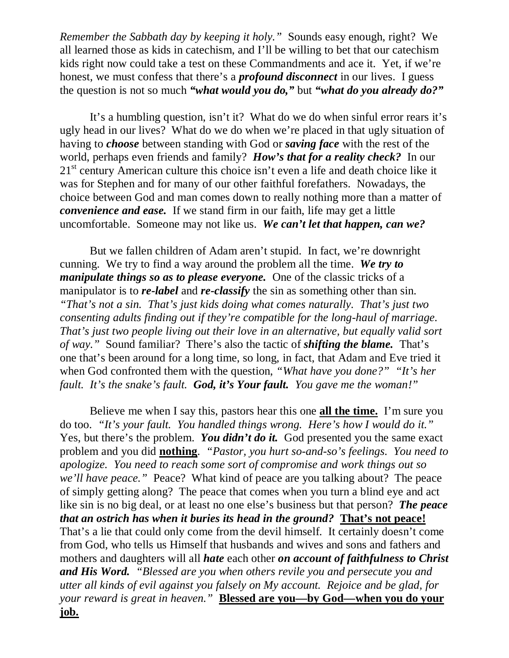*Remember the Sabbath day by keeping it holy."* Sounds easy enough, right? We all learned those as kids in catechism, and I'll be willing to bet that our catechism kids right now could take a test on these Commandments and ace it. Yet, if we're honest, we must confess that there's a *profound disconnect* in our lives. I guess the question is not so much *"what would you do,"* but *"what do you already do?"*

It's a humbling question, isn't it? What do we do when sinful error rears it's ugly head in our lives? What do we do when we're placed in that ugly situation of having to *choose* between standing with God or *saving face* with the rest of the world, perhaps even friends and family? *How's that for a reality check?* In our 21<sup>st</sup> century American culture this choice isn't even a life and death choice like it was for Stephen and for many of our other faithful forefathers. Nowadays, the choice between God and man comes down to really nothing more than a matter of *convenience and ease.* If we stand firm in our faith, life may get a little uncomfortable. Someone may not like us. *We can't let that happen, can we?*

But we fallen children of Adam aren't stupid. In fact, we're downright cunning. We try to find a way around the problem all the time. *We try to manipulate things so as to please everyone.* One of the classic tricks of a manipulator is to *re-label* and *re-classify* the sin as something other than sin. *"That's not a sin. That's just kids doing what comes naturally. That's just two consenting adults finding out if they're compatible for the long-haul of marriage. That's just two people living out their love in an alternative, but equally valid sort of way."* Sound familiar? There's also the tactic of *shifting the blame.* That's one that's been around for a long time, so long, in fact, that Adam and Eve tried it when God confronted them with the question, *"What have you done?" "It's her fault. It's the snake's fault. God, it's Your fault. You gave me the woman!"*

Believe me when I say this, pastors hear this one **all the time.** I'm sure you do too. *"It's your fault. You handled things wrong. Here's how I would do it."* Yes, but there's the problem. You didn't do it. God presented you the same exact problem and you did **nothing**. *"Pastor, you hurt so-and-so's feelings. You need to apologize. You need to reach some sort of compromise and work things out so we'll have peace."* Peace? What kind of peace are you talking about? The peace of simply getting along? The peace that comes when you turn a blind eye and act like sin is no big deal, or at least no one else's business but that person? *The peace that an ostrich has when it buries its head in the ground?* **That's not peace!** That's a lie that could only come from the devil himself. It certainly doesn't come from God, who tells us Himself that husbands and wives and sons and fathers and mothers and daughters will all *hate* each other *on account of faithfulness to Christ and His Word. "Blessed are you when others revile you and persecute you and utter all kinds of evil against you falsely on My account. Rejoice and be glad, for your reward is great in heaven."* **Blessed are you—by God—when you do your job.**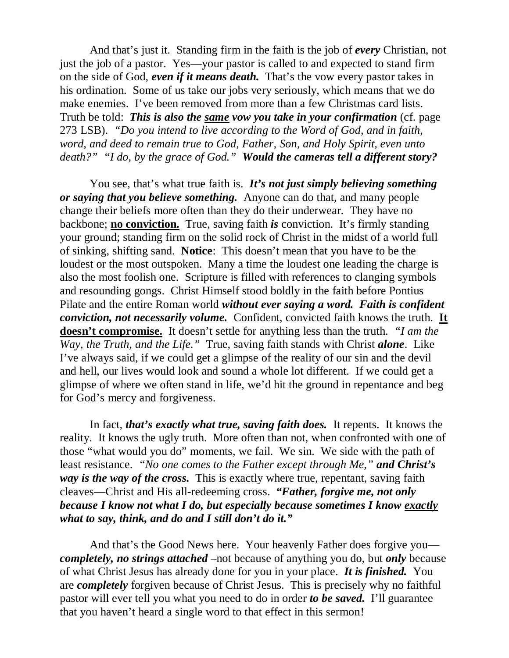And that's just it. Standing firm in the faith is the job of *every* Christian, not just the job of a pastor. Yes—your pastor is called to and expected to stand firm on the side of God, *even if it means death.* That's the vow every pastor takes in his ordination. Some of us take our jobs very seriously, which means that we do make enemies. I've been removed from more than a few Christmas card lists. Truth be told: *This is also the same vow you take in your confirmation* (cf. page 273 LSB). *"Do you intend to live according to the Word of God, and in faith, word, and deed to remain true to God, Father, Son, and Holy Spirit, even unto death?" "I do, by the grace of God." Would the cameras tell a different story?*

You see, that's what true faith is. *It's not just simply believing something or saying that you believe something.* Anyone can do that, and many people change their beliefs more often than they do their underwear. They have no backbone; **no conviction.** True, saving faith *is* conviction. It's firmly standing your ground; standing firm on the solid rock of Christ in the midst of a world full of sinking, shifting sand. **Notice**: This doesn't mean that you have to be the loudest or the most outspoken. Many a time the loudest one leading the charge is also the most foolish one. Scripture is filled with references to clanging symbols and resounding gongs. Christ Himself stood boldly in the faith before Pontius Pilate and the entire Roman world *without ever saying a word. Faith is confident conviction, not necessarily volume.* Confident, convicted faith knows the truth. **It doesn't compromise.** It doesn't settle for anything less than the truth. *"I am the Way, the Truth, and the Life."* True, saving faith stands with Christ *alone*. Like I've always said, if we could get a glimpse of the reality of our sin and the devil and hell, our lives would look and sound a whole lot different. If we could get a glimpse of where we often stand in life, we'd hit the ground in repentance and beg for God's mercy and forgiveness.

In fact, *that's exactly what true, saving faith does.* It repents. It knows the reality. It knows the ugly truth. More often than not, when confronted with one of those "what would you do" moments, we fail. We sin. We side with the path of least resistance. *"No one comes to the Father except through Me," and Christ's way is the way of the cross.* This is exactly where true, repentant, saving faith cleaves—Christ and His all-redeeming cross. *"Father, forgive me, not only because I know not what I do, but especially because sometimes I know exactly what to say, think, and do and I still don't do it."*

And that's the Good News here. Your heavenly Father does forgive you *completely, no strings attached* –not because of anything you do, but *only* because of what Christ Jesus has already done for you in your place. *It is finished.* You are *completely* forgiven because of Christ Jesus. This is precisely why no faithful pastor will ever tell you what you need to do in order *to be saved.* I'll guarantee that you haven't heard a single word to that effect in this sermon!